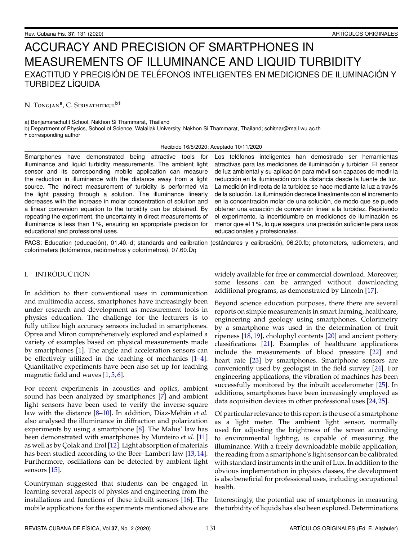# ACCURACY AND PRECISION OF SMARTPHONES IN MEASUREMENTS OF ILLUMINANCE AND LIQUID TURBIDITY EXACTITUD Y PRECISIÓN DE TELÉFONOS INTELIGENTES EN MEDICIONES DE ILUMINACIÓN Y TURBIDEZ LÍQUIDA

N. Tongjan<sup>a</sup>, C. Sirisathitkul<sup>b†</sup>

a) Benjamarachutit School, Nakhon Si Thammarat, Thailand

b) Department of Physics, School of Science, Walailak University, Nakhon Si Thammarat, Thailand; schitnar@mail.wu.ac.th † corresponding author

Recibido 16/5/2020; Aceptado 10/11/2020

Smartphones have demonstrated being attractive tools for illuminance and liquid turbidity measurements. The ambient light sensor and its corresponding mobile application can measure the reduction in illuminance with the distance away from a light source. The indirect measurement of turbidity is performed via the light passing through a solution. The illuminance linearly decreases with the increase in molar concentration of solution and a linear conversion equation to the turbidity can be obtained. By repeating the experiment, the uncertainty in direct measurements of illuminance is less than 1 %, ensuring an appropriate precision for educational and professional uses.

Los teléfonos inteligentes han demostrado ser herramientas atractivas para las mediciones de iluminación y turbidez. El sensor de luz ambiental y su aplicación para móvil son capaces de medir la reducción en la iluminación con la distancia desde la fuente de luz. La medición indirecta de la turbidez se hace mediante la luz a través de la solución. La iluminación decrece linealmente con el incremento en la concentración molar de una solución, de modo que se puede obtener una ecuación de conversión lineal a la turbidez. Repitiendo el experimento, la incertidumbre en mediciones de iluminación es menor que el 1 %, lo que asegura una precisión suficiente para usos educacionales y profesionales.

PACS: Education (educación), 01.40.-d; standards and calibration (estándares y calibración), 06.20.fb; photometers, radiometers, and colorimeters (fotómetros, radiómetros y colorímetros), 07.60.Dq

# I. INTRODUCTION

In addition to their conventional uses in communication and multimedia access, smartphones have increasingly been under research and development as measurement tools in physics education. The challenge for the lecturers is to fully utilize high accuracy sensors included in smartphones. Oprea and Miron comprehensively explored and explained a variety of examples based on physical measurements made by smartphones [\[1\]](#page-2-0). The angle and acceleration sensors can be effectively utilized in the teaching of mechanics [\[1–](#page-2-0)[4\]](#page-2-1). Quantitative experiments have been also set up for teaching magnetic field and waves  $[1, 5, 6]$  $[1, 5, 6]$  $[1, 5, 6]$  $[1, 5, 6]$  $[1, 5, 6]$ .

For recent experiments in acoustics and optics, ambient sound has been analyzed by smartphones [\[7\]](#page-2-4) and ambient light sensors have been used to verify the inverse-square law with the distance [\[8](#page-2-5)[–10\]](#page-2-6). In addition, Diaz-Melián *et al.* also analysed the illuminance in diffraction and polarization experiments by using a smartphone [\[8\]](#page-2-5). The Malus' law has been demonstrated with smartphones by Monteiro *et al.* [\[11\]](#page-3-0) as well as by Çolak and Erol [\[12\]](#page-3-1). Light absorption of materials has been studied according to the Beer–Lambert law [\[13,](#page-3-2) [14\]](#page-3-3). Furthermore, oscillations can be detected by ambient light sensors [\[15\]](#page-3-4).

Countryman suggested that students can be engaged in learning several aspects of physics and engineering from the installations and functions of these inbuilt sensors [\[16\]](#page-3-5). The mobile applications for the experiments mentioned above are widely available for free or commercial download. Moreover, some lessons can be arranged without downloading additional programs, as demonstrated by Lincoln [\[17\]](#page-3-6).

Beyond science education purposes, there there are several reports on simple measurements in smart farming, healthcare, engineering and geology using smartphones. Colorimetry by a smartphone was used in the determination of fruit ripeness [\[18,](#page-3-7) [19\]](#page-3-8), cholophyl contents [\[20\]](#page-3-9) and ancient pottery classifications [\[21\]](#page-3-10). Examples of healthcare applications include the measurements of blood pressure [\[22\]](#page-3-11) and heart rate [\[23\]](#page-3-12) by smartphones. Smartphone sensors are conveniently used by geologist in the field survey [\[24\]](#page-3-13). For engineering applications, the vibration of machines has been successfully monitored by the inbuilt accelerometer [\[25\]](#page-3-14). In additions, smartphones have been increasingly employed as data acquisition devices in other professional uses [\[24,](#page-3-13) [25\]](#page-3-14).

Of particular relevance to this report is the use of a smartphone as a light meter. The ambient light sensor, normally used for adjusting the brightness of the screen according to environmental lighting, is capable of measuring the illuminance. With a freely downloadable mobile application, the reading from a smartphone's light sensor can be calibrated with standard instruments in the unit of Lux. In addition to the obvious implementation in physics classes, the development is also beneficial for professional uses, including occupational health.

Interestingly, the potential use of smartphones in measuring the turbidity of liquids has also been explored. Determinations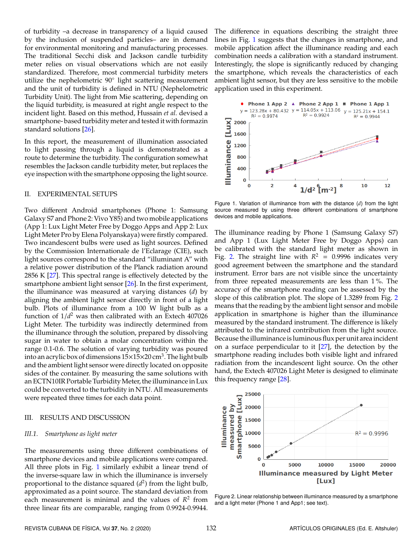of turbidity –a decrease in transparency of a liquid caused by the inclusion of suspended particles– are in demand for environmental monitoring and manufacturing processes. The traditional Secchi disk and Jackson candle turbidity meter relies on visual observations which are not easily standardized. Therefore, most commercial turbidity meters utilize the nephelometric 90° light scattering measurement and the unit of turbidity is defined in NTU (Nephelometric Turbidity Unit). The light from Mie scattering, depending on the liquid turbidity, is measured at right angle respect to the incident light. Based on this method, Hussain *et al.* devised a smartphone- based turbidity meter and tested it with formazin standard solutions [\[26\]](#page-3-15).

In this report, the measurement of illumination associated to light passing through a liquid is demonstrated as a route to determine the turbidity. The configuration somewhat resembles the Jackson candle turbidity meter, but replaces the eye inspection with the smartphone opposing the light source.

### II. EXPERIMENTAL SETUPS

Two different Android smartphones (Phone 1: Samsung Galaxy S7 and Phone 2: Vivo Y85) and two mobile applications (App 1: Lux Light Meter Free by Doggo Apps and App 2: Lux Light Meter Pro by Elena Polyanskaya) were firstly compared. Two incandescent bulbs were used as light sources. Defined by the Commission Internationale de l'Eclarage (CIE), such light sources correspond to the standard "illuminant A" with a relative power distribution of the Planck radiation around 2856 K [\[27\]](#page-3-16). This spectral range is effectively detected by the smartphone ambient light sensor [\[26\]](#page-3-15). In the first experiment, the illuminance was measured at varying distances (*d*) by aligning the ambient light sensor directly in front of a light bulb. Plots of illuminance from a 100 W light bulb as a function of 1/*d* <sup>2</sup> was then calibrated with an Extech 407026 Light Meter. The turbidity was indirectly determined from the illuminance through the solution, prepared by dissolving sugar in water to obtain a molar concentration within the range 0.1-0.6. The solution of varying turbidity was poured into an acrylic box of dimensions  $15\times15\times20$  cm<sup>3</sup>. The light bulb and the ambient light sensor were directly located on opposite sides of the container. By measuring the same solutions with an ECTN10IR Portable Turbidity Meter, the illuminance in Lux could be converted to the turbidity in NTU. All measurements were repeated three times for each data point.

#### III. RESULTS AND DISCUSSION

### *III.1. Smartphone as light meter*

The measurements using three different combinations of smartphone devices and mobile applications were compared. All three plots in Fig. [1](#page-1-0) similarly exhibit a linear trend of the inverse-square law in which the illuminance is inversely proportional to the distance squared (*d* 2 ) from the light bulb, approximated as a point source. The standard deviation from each measurement is minimal and the values of *R* 2 from three linear fits are comparable, ranging from 0.9924-0.9944.

The difference in equations describing the straight three lines in Fig. [1](#page-1-0) suggests that the changes in smartphone, and mobile application affect the illuminance reading and each combination needs a calibration with a standard instrument. Interestingly, the slope is significantly reduced by changing the smartphone, which reveals the characteristics of each ambient light sensor, but they are less sensitive to the mobile application used in this experiment.

<span id="page-1-0"></span>

Figure 1. Variation of illuminance from with the distance (*d*) from the light source measured by using three different combinations of smartphone devices and mobile applications.

The illuminance reading by Phone 1 (Samsung Galaxy S7) and App 1 (Lux Light Meter Free by Doggo Apps) can be calibrated with the standard light meter as shown in Fig. [2.](#page-1-1) The straight line with  $R^2 = 0.9996$  indicates very good agreement between the smartphone and the standard instrument. Error bars are not visible since the uncertainty from three repeated measurements are less than 1 %. The accuracy of the smartphone reading can be assessed by the slope of this calibration plot. The slope of 1.3289 from Fig. [2](#page-1-1) means that the reading by the ambient light sensor and mobile application in smartphone is higher than the illuminance measured by the standard instrument. The difference is likely attributed to the infrared contribution from the light source. Because the illuminance is luminous flux per unit area incident on a surface perpendicular to it [\[27\]](#page-3-16), the detection by the smartphone reading includes both visible light and infrared radiation from the incandescent light source. On the other hand, the Extech 407026 Light Meter is designed to eliminate this frequency range [\[28\]](#page-3-17).

<span id="page-1-1"></span>

Figure 2. Linear relationship between illuminance measured by a smartphone and a light meter (Phone 1 and App1; see text).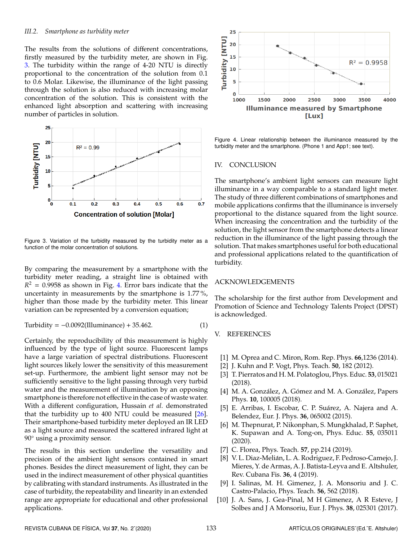#### *III.2. Smartphone as turbidity meter*

The results from the solutions of different concentrations, firstly measured by the turbidity meter, are shown in Fig. [3.](#page-2-7) The turbidity within the range of 4-20 NTU is directly proportional to the concentration of the solution from 0.1 to 0.6 Molar. Likewise, the illuminance of the light passing through the solution is also reduced with increasing molar concentration of the solution. This is consistent with the enhanced light absorption and scattering with increasing number of particles in solution.

<span id="page-2-7"></span>

Figure 3. Variation of the turbidity measured by the turbidity meter as a function of the molar concentration of solutions.

By comparing the measurement by a smartphone with the turbidity meter reading, a straight line is obtained with  $R<sup>2</sup> = 0.9958$  as shown in Fig. [4.](#page-2-8) Error bars indicate that the uncertainty in measurements by the smartphone is 1.77 %, higher than those made by the turbidity meter. This linear variation can be represented by a conversion equation;

$$
Turbidity = -0.0092(Illuminance) + 35.462.
$$
 (1)

Certainly, the reproducibility of this measurement is highly influenced by the type of light source. Fluorescent lamps have a large variation of spectral distributions. Fluorescent light sources likely lower the sensitivity of this measurement set-up. Furthermore, the ambient light sensor may not be sufficiently sensitive to the light passing through very turbid water and the measurement of illumination by an opposing smartphone is therefore not effective in the case of waste water. With a different configuration, Hussain *et al.* demonstrated that the turbidity up to 400 NTU could be measured  $[26]$ . Their smartphone-based turbidity meter deployed an IR LED as a light source and measured the scattered infrared light at 90 $\degree$  using a proximity sensor.

The results in this section underline the versatility and precision of the ambient light sensors contained in smart phones. Besides the direct measurement of light, they can be used in the indirect measurement of other physical quantities by calibrating with standard instruments. As illustrated in the case of turbidity, the repeatability and linearity in an extended range are appropriate for educational and other professional applications.

<span id="page-2-8"></span>

Figure 4. Linear relationship between the illuminance measured by the turbidity meter and the smartphone. (Phone 1 and App1; see text).

### IV. CONCLUSION

The smartphone's ambient light sensors can measure light illuminance in a way comparable to a standard light meter. The study of three different combinations of smartphones and mobile applications confirms that the illuminance is inversely proportional to the distance squared from the light source. When increasing the concentration and the turbidity of the solution, the light sensor from the smartphone detects a linear reduction in the illuminance of the light passing through the solution. That makes smartphones useful for both educational and professional applications related to the quantification of turbidity.

# ACKNOWLEDGEMENTS

The scholarship for the first author from Development and Promotion of Science and Technology Talents Project (DPST) is acknowledged.

# V. REFERENCES

- <span id="page-2-0"></span>[1] M. Oprea and C. Miron, Rom. Rep. Phys. **66**,1236 (2014).
- [2] J. Kuhn and P. Vogt, Phys. Teach. **50**, 182 (2012).
- [3] T. Pierratos and H. M. Polatoglou, Phys. Educ. **53**, 015021 (2018).
- <span id="page-2-1"></span>[4] M. A. González, A. Gómez and M. A. González, Papers Phys. **10**, 100005 (2018).
- <span id="page-2-2"></span>[5] E. Arribas, I. Escobar, C. P. Suárez, A. Najera and A. Belendez, Eur. J. Phys. **36**, 065002 (2015).
- <span id="page-2-3"></span>[6] M. Thepnurat, P. Nikonphan, S. Mungkhalad, P. Saphet, K. Supawan and A. Tong-on, Phys. Educ. **55**, 035011 (2020).
- <span id="page-2-4"></span>[7] C. Florea, Phys. Teach. **57**, pp.214 (2019).
- <span id="page-2-5"></span>[8] V. L. Diaz-Melián, L. A. Rodriguez, F. Pedroso-Camejo, J. Mieres, Y. de Armas, A. J. Batista-Leyva and E. Altshuler, Rev. Cubana Fis. **36**, 4 (2019).
- [9] I. Salinas, M. H. Gimenez, J. A. Monsoriu and J. C. Castro-Palacio, Phys. Teach. **56**, 562 (2018).
- <span id="page-2-6"></span>[10] J. A. Sans, J. Gea-Pinal, M H Gimenez, A R Esteve, J Solbes and J A Monsoriu, Eur. J. Phys. **38**, 025301 (2017).